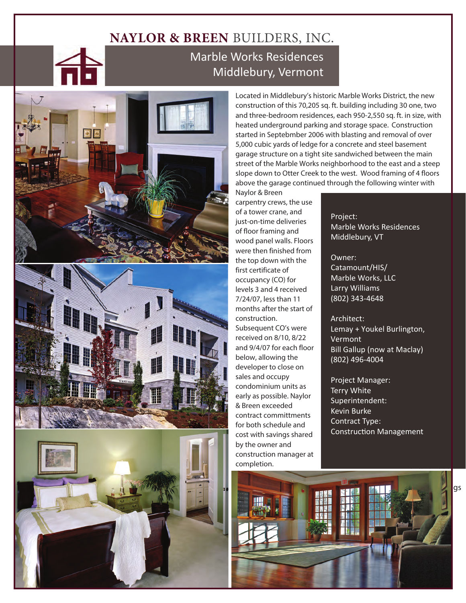## **NAYLOR & BREEN** BUILDERS, INC.

## Marble Works Residences Middlebury, Vermont



Located in Middlebury's historic Marble Works District, the new construction of this 70,205 sq. ft. building including 30 one, two and three-bedroom residences, each 950-2,550 sq. ft. in size, with heated underground parking and storage space. Construction started in Septebmber 2006 with blasting and removal of over 5,000 cubic yards of ledge for a concrete and steel basement garage structure on a tight site sandwiched between the main street of the Marble Works neighborhood to the east and a steep slope down to Otter Creek to the west. Wood framing of 4 floors above the garage continued through the following winter with Naylor & Breen

carpentry crews, the use of a tower crane, and just-on-time deliveries of floor framing and wood panel walls. Floors were then finished from the top down with the first certificate of occupancy (CO) for levels 3 and 4 received 7/24/07, less than 11 months after the start of construction. Subsequent CO's were received on 8/10, 8/22 and 9/4/07 for each floor below, allowing the developer to close on sales and occupy condominium units as early as possible. Naylor & Breen exceeded contract committments for both schedule and cost with savings shared by the owner and construction manager at completion.

Project: Marble Works Residences Middlebury, VT

Owner: Catamount/HIS/ Marble Works, LLC Larry Williams (802) 343-4648

Architect: Lemay + Youkel Burlington, Vermont Bill Gallup (now at Maclay) (802) 496-4004

over less than one Construction Management Project Manager: Terry White Superintendent: Kevin Burke Contract Type:

contract commit-